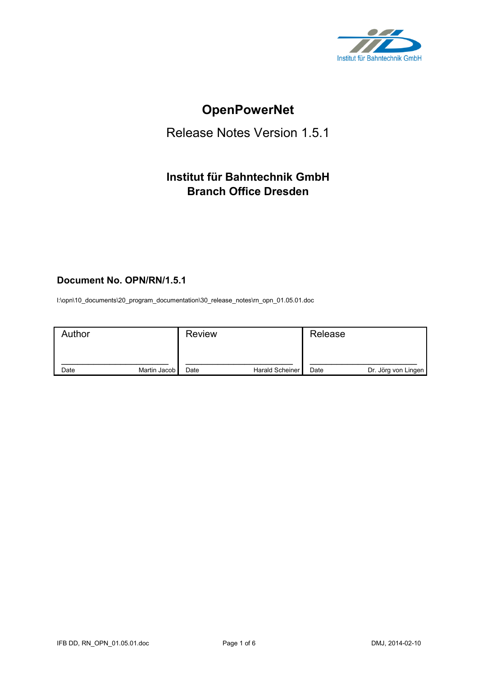

# **OpenPowerNet**

## Release Notes Version 1.5.1

## **Institut für Bahntechnik GmbH Branch Office Dresden**

## **Document No. OPN/RN/1.5.1**

l:\opn\10\_documents\20\_program\_documentation\30\_release\_notes\rn\_opn\_01.05.01.doc

| Author |              | <b>Review</b> |                 | Release |                     |
|--------|--------------|---------------|-----------------|---------|---------------------|
| Date   | Martin Jacob | Date          | Harald Scheiner | Date    | Dr. Jörg von Lingen |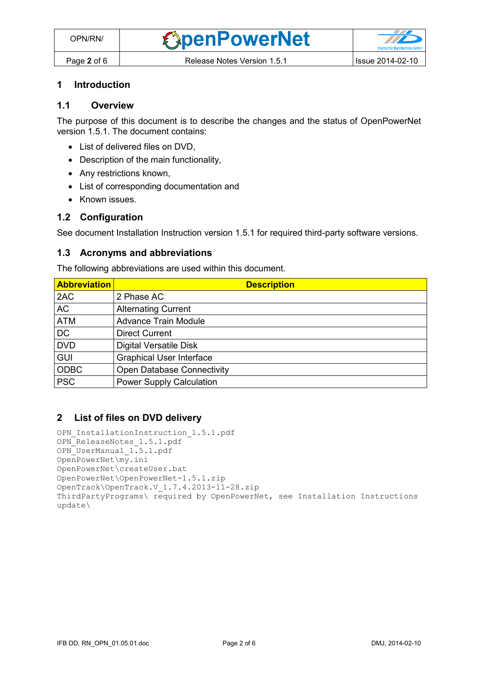#### **1 Introduction**

## **1.1 Overview**

The purpose of this document is to describe the changes and the status of OpenPowerNet version 1.5.1. The document contains:

- List of delivered files on DVD,
- Description of the main functionality,
- Any restrictions known,
- List of corresponding documentation and
- Known issues.

#### **1.2 Configuration**

See document Installation Instruction version 1.5.1 for required third-party software versions.

#### **1.3 Acronyms and abbreviations**

The following abbreviations are used within this document.

| <b>Abbreviation</b> | <b>Description</b>                |
|---------------------|-----------------------------------|
| 2AC                 | 2 Phase AC                        |
| <b>AC</b>           | <b>Alternating Current</b>        |
| <b>ATM</b>          | <b>Advance Train Module</b>       |
| <b>DC</b>           | <b>Direct Current</b>             |
| <b>DVD</b>          | <b>Digital Versatile Disk</b>     |
| <b>GUI</b>          | <b>Graphical User Interface</b>   |
| <b>ODBC</b>         | <b>Open Database Connectivity</b> |
| <b>PSC</b>          | <b>Power Supply Calculation</b>   |

#### **2 List of files on DVD delivery**

```
OPN InstallationInstruction 1.5.1.pdf
OPN_ReleaseNotes_1.5.1.pdf
OPN_UserManual_1.5.1.pdf
OpenPowerNet\my.ini
OpenPowerNet\createUser.bat
OpenPowerNet\OpenPowerNet-1.5.1.zip
OpenTrack\OpenTrack.V_1.7.4.2013-11-28.zip
ThirdPartyPrograms\ required by OpenPowerNet, see Installation Instructions
update\
```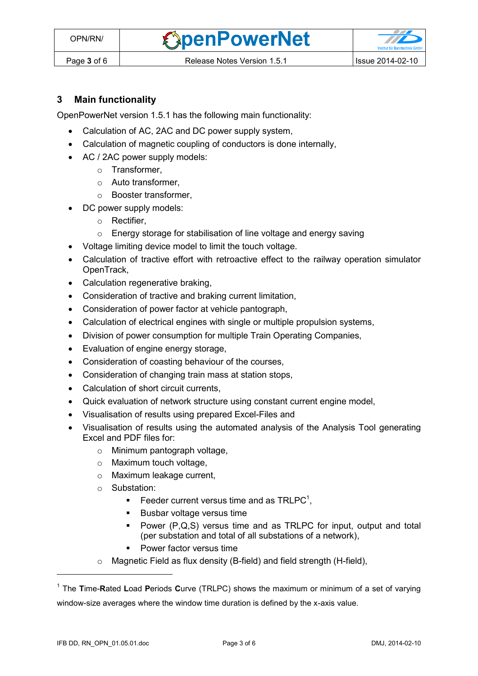**OpenPowerNet** 

## **3 Main functionality**

OpenPowerNet version 1.5.1 has the following main functionality:

- Calculation of AC, 2AC and DC power supply system,
- Calculation of magnetic coupling of conductors is done internally,
- AC / 2AC power supply models:
	- o Transformer,
	- o Auto transformer,
	- o Booster transformer,
- DC power supply models:
	- o Rectifier,
	- o Energy storage for stabilisation of line voltage and energy saving
- Voltage limiting device model to limit the touch voltage.
- Calculation of tractive effort with retroactive effect to the railway operation simulator OpenTrack,
- Calculation regenerative braking,
- Consideration of tractive and braking current limitation,
- Consideration of power factor at vehicle pantograph,
- Calculation of electrical engines with single or multiple propulsion systems,
- Division of power consumption for multiple Train Operating Companies,
- Evaluation of engine energy storage,
- Consideration of coasting behaviour of the courses,
- Consideration of changing train mass at station stops,
- Calculation of short circuit currents,
- Quick evaluation of network structure using constant current engine model,
- Visualisation of results using prepared Excel-Files and
- <span id="page-2-0"></span> Visualisation of results using the automated analysis of the Analysis Tool generating Excel and PDF files for:
	- o Minimum pantograph voltage,
	- o Maximum touch voltage,
	- o Maximum leakage current,
	- o Substation:
		- Feeder current versus time and as  $TRLPC<sup>1</sup>$ ,
		- **Busbar voltage versus time**
		- Power (P,Q,S) versus time and as TRLPC for input, output and total (per substation and total of all substations of a network),
		- **•** Power factor versus time
	- o Magnetic Field as flux density (B-field) and field strength (H-field),

 $\overline{a}$ 

<sup>1</sup> The **T**ime-**R**ated **L**oad **P**eriods **C**urve (TRLPC) shows the maximum or minimum of a set of varying window-size averages where the window time duration is defined by the x-axis value.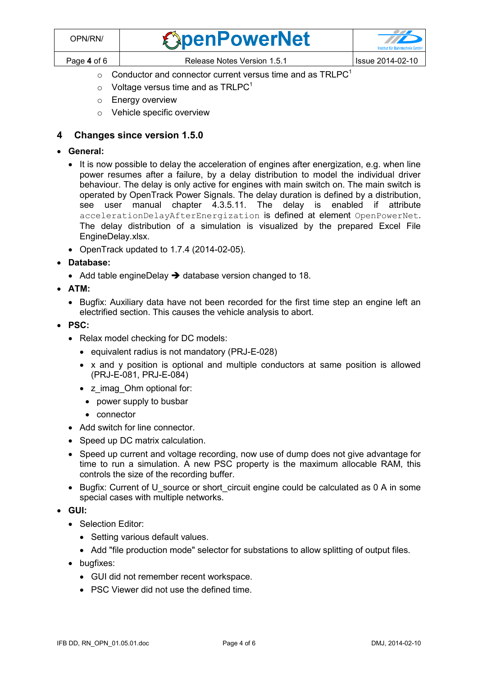| OPN/RN/     | <b><i><u>ExpenPowerNet</u></i></b> | $\mathcal{L}$<br><b>Institut für Bahntechnik GmbF</b> |
|-------------|------------------------------------|-------------------------------------------------------|
| Page 4 of 6 | Release Notes Version 1.5.1        | Issue 2014-02-10                                      |

- $\circ$  [C](#page-2-0)onductor and connector current versus time and as TRLPC<sup>1</sup>
- $\circ$  Voltage versus time and as TRLPC<sup>[1](#page-2-0)</sup>
- o Energy overview
- o Vehicle specific overview

## **4 Changes since version 1.5.0**

- **General:**
	- It is now possible to delay the acceleration of engines after energization, e.g. when line power resumes after a failure, by a delay distribution to model the individual driver behaviour. The delay is only active for engines with main switch on. The main switch is operated by OpenTrack Power Signals. The delay duration is defined by a distribution, see user manual chapter 4.3.5.11. The delay is enabled if attribute accelerationDelayAfterEnergization is defined at element OpenPowerNet. The delay distribution of a simulation is visualized by the prepared Excel File EngineDelay.xlsx.
	- OpenTrack updated to 1.7.4 (2014-02-05).
- **Database:**
	- Add table engineDelay  $\rightarrow$  database version changed to 18.
- **ATM:**
	- Bugfix: Auxiliary data have not been recorded for the first time step an engine left an electrified section. This causes the vehicle analysis to abort.
- **PSC:**
	- Relax model checking for DC models:
		- equivalent radius is not mandatory (PRJ-E-028)
		- x and y position is optional and multiple conductors at same position is allowed (PRJ-E-081, PRJ-E-084)
		- z\_imag\_Ohm optional for:
			- power supply to busbar
			- connector
	- Add switch for line connector.
	- Speed up DC matrix calculation.
	- Speed up current and voltage recording, now use of dump does not give advantage for time to run a simulation. A new PSC property is the maximum allocable RAM, this controls the size of the recording buffer.
	- Bugfix: Current of U source or short circuit engine could be calculated as 0 A in some special cases with multiple networks.
- **GUI:**
	- Selection Editor:
		- Setting various default values.
		- Add "file production mode" selector for substations to allow splitting of output files.
	- bugfixes:
		- GUI did not remember recent workspace.
		- PSC Viewer did not use the defined time.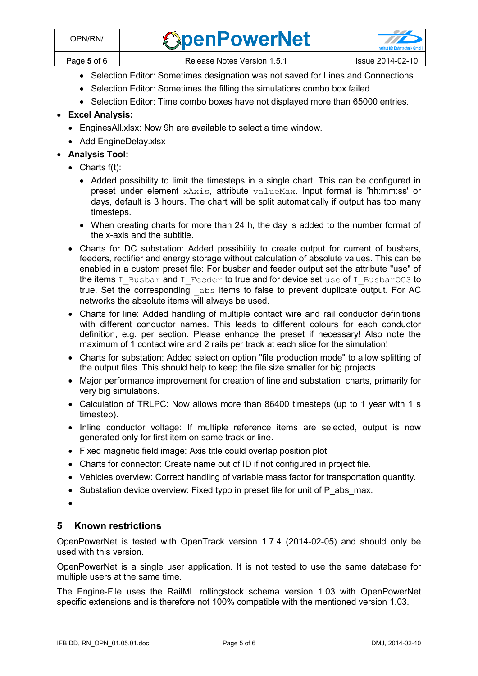- Selection Editor: Sometimes designation was not saved for Lines and Connections.
- Selection Editor: Sometimes the filling the simulations combo box failed.
- Selection Editor: Time combo boxes have not displayed more than 65000 entries.

## **Excel Analysis:**

- EnginesAll.xlsx: Now 9h are available to select a time window.
- Add EngineDelay.xlsx

## **Analysis Tool:**

- $\bullet$  Charts  $f(t)$ :
	- Added possibility to limit the timesteps in a single chart. This can be configured in preset under element xAxis, attribute valueMax. Input format is 'hh:mm:ss' or days, default is 3 hours. The chart will be split automatically if output has too many timesteps.
	- When creating charts for more than 24 h, the day is added to the number format of the x-axis and the subtitle.
- Charts for DC substation: Added possibility to create output for current of busbars, feeders, rectifier and energy storage without calculation of absolute values. This can be enabled in a custom preset file: For busbar and feeder output set the attribute "use" of the items  $I_$  Busbar and  $I_$  Feeder to true and for device set use of  $I_$  BusbarOCS to true. Set the corresponding  $a_{\text{obs}}$  items to false to prevent duplicate output. For AC networks the absolute items will always be used.
- Charts for line: Added handling of multiple contact wire and rail conductor definitions with different conductor names. This leads to different colours for each conductor definition, e.g. per section. Please enhance the preset if necessary! Also note the maximum of 1 contact wire and 2 rails per track at each slice for the simulation!
- Charts for substation: Added selection option "file production mode" to allow splitting of the output files. This should help to keep the file size smaller for big projects.
- Major performance improvement for creation of line and substation charts, primarily for very big simulations.
- Calculation of TRLPC: Now allows more than 86400 timesteps (up to 1 year with 1 s timestep).
- Inline conductor voltage: If multiple reference items are selected, output is now generated only for first item on same track or line.
- Fixed magnetic field image: Axis title could overlap position plot.
- Charts for connector: Create name out of ID if not configured in project file.
- Vehicles overview: Correct handling of variable mass factor for transportation quantity.
- Substation device overview: Fixed typo in preset file for unit of P\_abs\_max.
- $\bullet$

## **5 Known restrictions**

OpenPowerNet is tested with OpenTrack version 1.7.4 (2014-02-05) and should only be used with this version.

OpenPowerNet is a single user application. It is not tested to use the same database for multiple users at the same time.

The Engine-File uses the RailML rollingstock schema version 1.03 with OpenPowerNet specific extensions and is therefore not 100% compatible with the mentioned version 1.03.